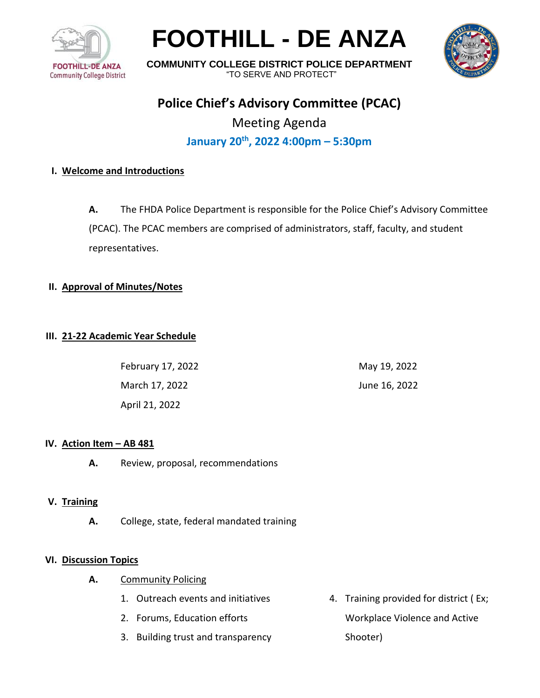

# **FOOTHILL - DE ANZA**



**COMMUNITY COLLEGE DISTRICT POLICE DEPARTMENT** "TO SERVE AND PROTECT"

## **Police Chief's Advisory Committee (PCAC)**

Meeting Agenda **January 20th , 2022 4:00pm – 5:30pm**

### **I. Welcome and Introductions**

**A.** The FHDA Police Department is responsible for the Police Chief's Advisory Committee (PCAC). The PCAC members are comprised of administrators, staff, faculty, and student representatives.

#### **II. Approval of Minutes/Notes**

#### **III. 21-22 Academic Year Schedule**

| February 17, 2022 | May 19, 2022  |
|-------------------|---------------|
| March 17, 2022    | June 16, 2022 |
| April 21, 2022    |               |

#### **IV. Action Item – AB 481**

**A.** Review, proposal, recommendations

#### **V. Training**

**A.** College, state, federal mandated training

#### **VI. Discussion Topics**

- **A.** Community Policing
	- 1. Outreach events and initiatives
	- 2. Forums, Education efforts
	- 3. Building trust and transparency
- 4. Training provided for district ( Ex; Workplace Violence and Active Shooter)